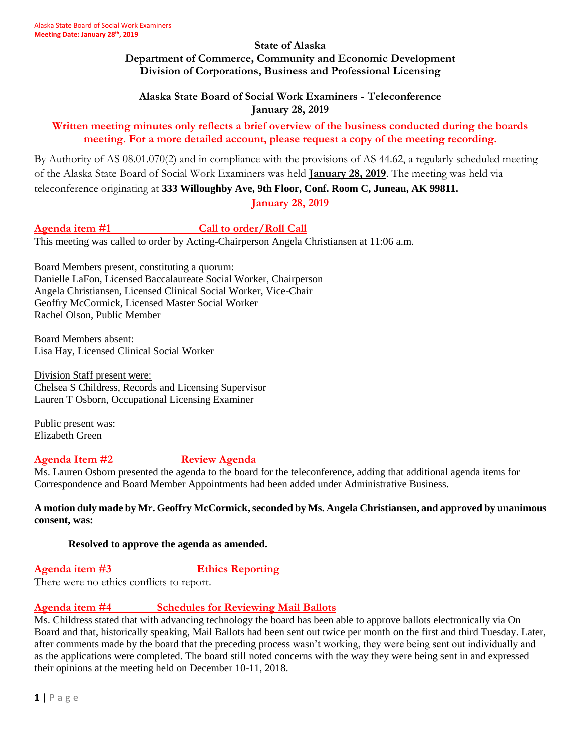#### **State of Alaska Department of Commerce, Community and Economic Development Division of Corporations, Business and Professional Licensing**

## **Alaska State Board of Social Work Examiners - Teleconference January 28, 2019**

## **Written meeting minutes only reflects a brief overview of the business conducted during the boards meeting. For a more detailed account, please request a copy of the meeting recording.**

By Authority of AS 08.01.070(2) and in compliance with the provisions of AS 44.62, a regularly scheduled meeting of the Alaska State Board of Social Work Examiners was held **January 28, 2019**. The meeting was held via teleconference originating at **333 Willoughby Ave, 9th Floor, Conf. Room C, Juneau, AK 99811.**

**January 28, 2019**

Agenda item #1 Call to order/Roll Call

This meeting was called to order by Acting-Chairperson Angela Christiansen at 11:06 a.m.

Board Members present, constituting a quorum: Danielle LaFon, Licensed Baccalaureate Social Worker, Chairperson Angela Christiansen, Licensed Clinical Social Worker, Vice-Chair Geoffry McCormick, Licensed Master Social Worker Rachel Olson, Public Member

Board Members absent: Lisa Hay, Licensed Clinical Social Worker

Division Staff present were: Chelsea S Childress, Records and Licensing Supervisor Lauren T Osborn, Occupational Licensing Examiner

Public present was: Elizabeth Green

# **Agenda Item #2 Review Agenda**

Ms. Lauren Osborn presented the agenda to the board for the teleconference, adding that additional agenda items for Correspondence and Board Member Appointments had been added under Administrative Business.

#### **A motion duly made by Mr. Geoffry McCormick, seconded by Ms. Angela Christiansen, and approved by unanimous consent, was:**

## **Resolved to approve the agenda as amended.**

## **Agenda item #3 Ethics Reporting**

There were no ethics conflicts to report.

## **Agenda item #4 Schedules for Reviewing Mail Ballots**

Ms. Childress stated that with advancing technology the board has been able to approve ballots electronically via On Board and that, historically speaking, Mail Ballots had been sent out twice per month on the first and third Tuesday. Later, after comments made by the board that the preceding process wasn't working, they were being sent out individually and as the applications were completed. The board still noted concerns with the way they were being sent in and expressed their opinions at the meeting held on December 10-11, 2018.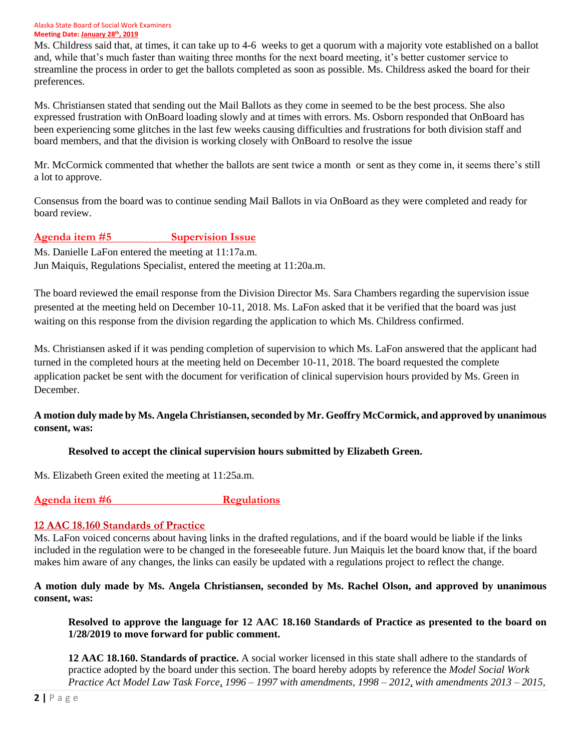Ms. Childress said that, at times, it can take up to 4-6 weeks to get a quorum with a majority vote established on a ballot and, while that's much faster than waiting three months for the next board meeting, it's better customer service to streamline the process in order to get the ballots completed as soon as possible. Ms. Childress asked the board for their preferences.

Ms. Christiansen stated that sending out the Mail Ballots as they come in seemed to be the best process. She also expressed frustration with OnBoard loading slowly and at times with errors. Ms. Osborn responded that OnBoard has been experiencing some glitches in the last few weeks causing difficulties and frustrations for both division staff and board members, and that the division is working closely with OnBoard to resolve the issue

Mr. McCormick commented that whether the ballots are sent twice a month or sent as they come in, it seems there's still a lot to approve.

Consensus from the board was to continue sending Mail Ballots in via OnBoard as they were completed and ready for board review.

## **Agenda item #5 Supervision Issue**

Ms. Danielle LaFon entered the meeting at 11:17a.m.

Jun Maiquis, Regulations Specialist, entered the meeting at 11:20a.m.

The board reviewed the email response from the Division Director Ms. Sara Chambers regarding the supervision issue presented at the meeting held on December 10-11, 2018. Ms. LaFon asked that it be verified that the board was just waiting on this response from the division regarding the application to which Ms. Childress confirmed.

Ms. Christiansen asked if it was pending completion of supervision to which Ms. LaFon answered that the applicant had turned in the completed hours at the meeting held on December 10-11, 2018. The board requested the complete application packet be sent with the document for verification of clinical supervision hours provided by Ms. Green in December.

## **A motion duly made by Ms. Angela Christiansen, seconded by Mr. Geoffry McCormick, and approved by unanimous consent, was:**

## **Resolved to accept the clinical supervision hours submitted by Elizabeth Green.**

Ms. Elizabeth Green exited the meeting at 11:25a.m.

**Agenda item #6** Regulations

## **12 AAC 18.160 Standards of Practice**

Ms. LaFon voiced concerns about having links in the drafted regulations, and if the board would be liable if the links included in the regulation were to be changed in the foreseeable future. Jun Maiquis let the board know that, if the board makes him aware of any changes, the links can easily be updated with a regulations project to reflect the change.

**A motion duly made by Ms. Angela Christiansen, seconded by Ms. Rachel Olson, and approved by unanimous consent, was:**

**Resolved to approve the language for 12 AAC 18.160 Standards of Practice as presented to the board on 1/28/2019 to move forward for public comment.** 

**12 AAC 18.160. Standards of practice.** A social worker licensed in this state shall adhere to the standards of practice adopted by the board under this section. The board hereby adopts by reference the *Model Social Work Practice Act Model Law Task Force, 1996 – 1997 with amendments, 1998 – 2012, with amendments 2013 – 2015,*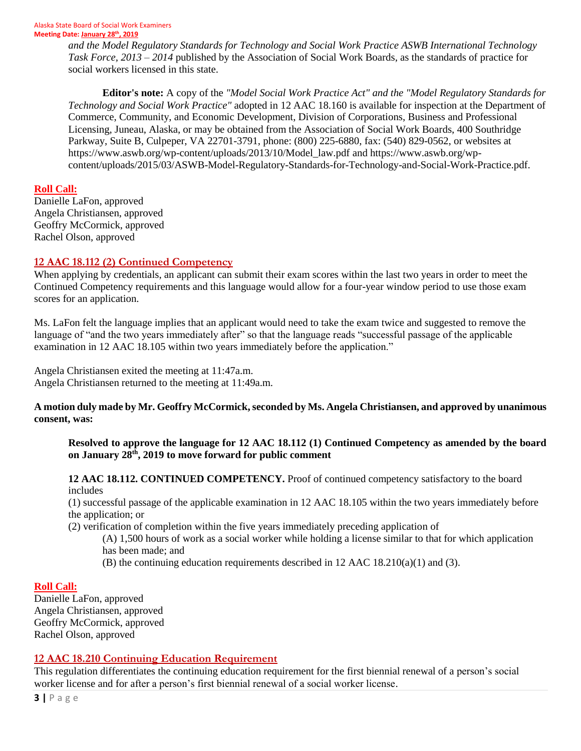*and the Model Regulatory Standards for Technology and Social Work Practice ASWB International Technology Task Force, 2013 – 2014* published by the Association of Social Work Boards, as the standards of practice for social workers licensed in this state.

**Editor's note:** A copy of the *"Model Social Work Practice Act" and the "Model Regulatory Standards for Technology and Social Work Practice"* adopted in 12 AAC 18.160 is available for inspection at the Department of Commerce, Community, and Economic Development, Division of Corporations, Business and Professional Licensing, Juneau, Alaska, or may be obtained from the Association of Social Work Boards, 400 Southridge Parkway, Suite B, Culpeper, VA 22701-3791, phone: (800) 225-6880, fax: (540) 829-0562, or websites at https://www.aswb.org/wp-content/uploads/2013/10/Model\_law.pdf and https://www.aswb.org/wpcontent/uploads/2015/03/ASWB-Model-Regulatory-Standards-for-Technology-and-Social-Work-Practice.pdf.

#### **Roll Call:**

Danielle LaFon, approved Angela Christiansen, approved Geoffry McCormick, approved Rachel Olson, approved

## **12 AAC 18.112 (2) Continued Competency**

When applying by credentials, an applicant can submit their exam scores within the last two years in order to meet the Continued Competency requirements and this language would allow for a four-year window period to use those exam scores for an application.

Ms. LaFon felt the language implies that an applicant would need to take the exam twice and suggested to remove the language of "and the two years immediately after" so that the language reads "successful passage of the applicable examination in 12 AAC 18.105 within two years immediately before the application."

Angela Christiansen exited the meeting at 11:47a.m. Angela Christiansen returned to the meeting at 11:49a.m.

#### **A motion duly made by Mr. Geoffry McCormick, seconded by Ms. Angela Christiansen, and approved by unanimous consent, was:**

**Resolved to approve the language for 12 AAC 18.112 (1) Continued Competency as amended by the board on January 28th, 2019 to move forward for public comment**

**12 AAC 18.112. CONTINUED COMPETENCY.** Proof of continued competency satisfactory to the board includes

(1) successful passage of the applicable examination in 12 AAC 18.105 within the two years immediately before the application; or

(2) verification of completion within the five years immediately preceding application of

(A) 1,500 hours of work as a social worker while holding a license similar to that for which application has been made; and

(B) the continuing education requirements described in 12 AAC  $18.210(a)(1)$  and (3).

## **Roll Call:**

Danielle LaFon, approved Angela Christiansen, approved Geoffry McCormick, approved Rachel Olson, approved

# **12 AAC 18.210 Continuing Education Requirement**

This regulation differentiates the continuing education requirement for the first biennial renewal of a person's social worker license and for after a person's first biennial renewal of a social worker license.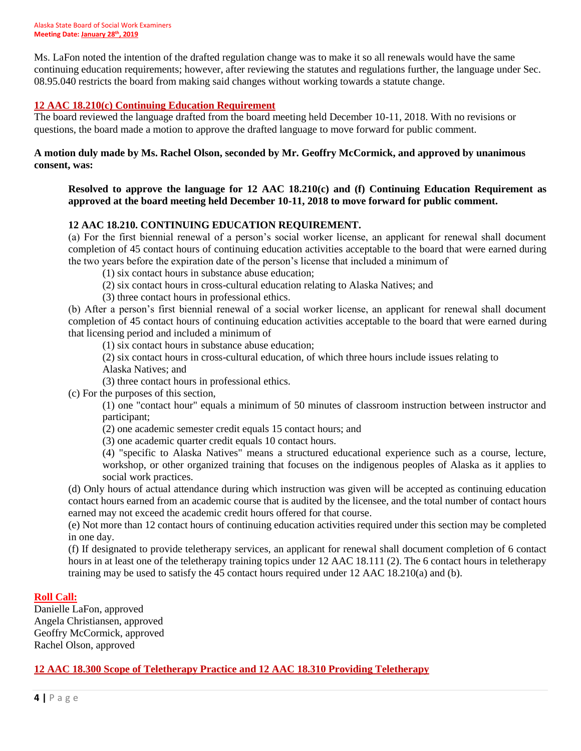Ms. LaFon noted the intention of the drafted regulation change was to make it so all renewals would have the same continuing education requirements; however, after reviewing the statutes and regulations further, the language under Sec. 08.95.040 restricts the board from making said changes without working towards a statute change.

#### **12 AAC 18.210(c) Continuing Education Requirement**

The board reviewed the language drafted from the board meeting held December 10-11, 2018. With no revisions or questions, the board made a motion to approve the drafted language to move forward for public comment.

#### **A motion duly made by Ms. Rachel Olson, seconded by Mr. Geoffry McCormick, and approved by unanimous consent, was:**

#### **Resolved to approve the language for 12 AAC 18.210(c) and (f) Continuing Education Requirement as approved at the board meeting held December 10-11, 2018 to move forward for public comment.**

#### **12 AAC 18.210. CONTINUING EDUCATION REQUIREMENT.**

(a) For the first biennial renewal of a person's social worker license, an applicant for renewal shall document completion of 45 contact hours of continuing education activities acceptable to the board that were earned during the two years before the expiration date of the person's license that included a minimum of

(1) six contact hours in substance abuse education;

- (2) six contact hours in cross-cultural education relating to Alaska Natives; and
- (3) three contact hours in professional ethics.

(b) After a person's first biennial renewal of a social worker license, an applicant for renewal shall document completion of 45 contact hours of continuing education activities acceptable to the board that were earned during that licensing period and included a minimum of

(1) six contact hours in substance abuse education;

(2) six contact hours in cross-cultural education, of which three hours include issues relating to Alaska Natives; and

(3) three contact hours in professional ethics.

(c) For the purposes of this section,

(1) one "contact hour" equals a minimum of 50 minutes of classroom instruction between instructor and participant;

(2) one academic semester credit equals 15 contact hours; and

(3) one academic quarter credit equals 10 contact hours.

(4) "specific to Alaska Natives" means a structured educational experience such as a course, lecture, workshop, or other organized training that focuses on the indigenous peoples of Alaska as it applies to social work practices.

(d) Only hours of actual attendance during which instruction was given will be accepted as continuing education contact hours earned from an academic course that is audited by the licensee, and the total number of contact hours earned may not exceed the academic credit hours offered for that course.

(e) Not more than 12 contact hours of continuing education activities required under this section may be completed in one day.

(f) If designated to provide teletherapy services, an applicant for renewal shall document completion of 6 contact hours in at least one of the teletherapy training topics under 12 AAC 18.111 (2). The 6 contact hours in teletherapy training may be used to satisfy the 45 contact hours required under 12 AAC 18.210(a) and (b).

#### **Roll Call:**

Danielle LaFon, approved Angela Christiansen, approved Geoffry McCormick, approved Rachel Olson, approved

#### **12 AAC 18.300 Scope of Teletherapy Practice and 12 AAC 18.310 Providing Teletherapy**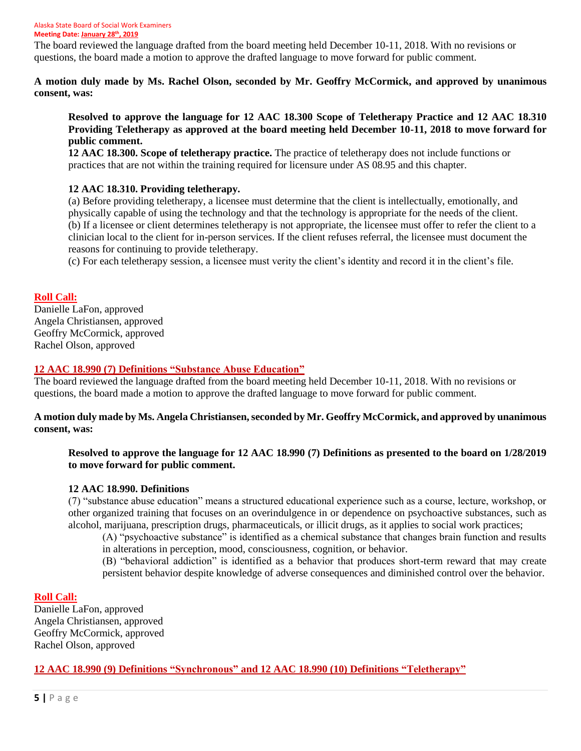The board reviewed the language drafted from the board meeting held December 10-11, 2018. With no revisions or questions, the board made a motion to approve the drafted language to move forward for public comment.

**A motion duly made by Ms. Rachel Olson, seconded by Mr. Geoffry McCormick, and approved by unanimous consent, was:**

**Resolved to approve the language for 12 AAC 18.300 Scope of Teletherapy Practice and 12 AAC 18.310 Providing Teletherapy as approved at the board meeting held December 10-11, 2018 to move forward for public comment.** 

**12 AAC 18.300. Scope of teletherapy practice.** The practice of teletherapy does not include functions or practices that are not within the training required for licensure under AS 08.95 and this chapter.

#### **12 AAC 18.310. Providing teletherapy.**

(a) Before providing teletherapy, a licensee must determine that the client is intellectually, emotionally, and physically capable of using the technology and that the technology is appropriate for the needs of the client. (b) If a licensee or client determines teletherapy is not appropriate, the licensee must offer to refer the client to a clinician local to the client for in-person services. If the client refuses referral, the licensee must document the reasons for continuing to provide teletherapy.

(c) For each teletherapy session, a licensee must verity the client's identity and record it in the client's file.

#### **Roll Call:**

Danielle LaFon, approved Angela Christiansen, approved Geoffry McCormick, approved Rachel Olson, approved

#### **12 AAC 18.990 (7) Definitions "Substance Abuse Education"**

The board reviewed the language drafted from the board meeting held December 10-11, 2018. With no revisions or questions, the board made a motion to approve the drafted language to move forward for public comment.

#### **A motion duly made by Ms. Angela Christiansen, seconded by Mr. Geoffry McCormick, and approved by unanimous consent, was:**

#### **Resolved to approve the language for 12 AAC 18.990 (7) Definitions as presented to the board on 1/28/2019 to move forward for public comment.**

#### **12 AAC 18.990. Definitions**

(7) "substance abuse education" means a structured educational experience such as a course, lecture, workshop, or other organized training that focuses on an overindulgence in or dependence on psychoactive substances, such as alcohol, marijuana, prescription drugs, pharmaceuticals, or illicit drugs, as it applies to social work practices;

(A) "psychoactive substance" is identified as a chemical substance that changes brain function and results in alterations in perception, mood, consciousness, cognition, or behavior.

(B) "behavioral addiction" is identified as a behavior that produces short-term reward that may create persistent behavior despite knowledge of adverse consequences and diminished control over the behavior.

#### **Roll Call:**

Danielle LaFon, approved Angela Christiansen, approved Geoffry McCormick, approved Rachel Olson, approved

#### **12 AAC 18.990 (9) Definitions "Synchronous" and 12 AAC 18.990 (10) Definitions "Teletherapy"**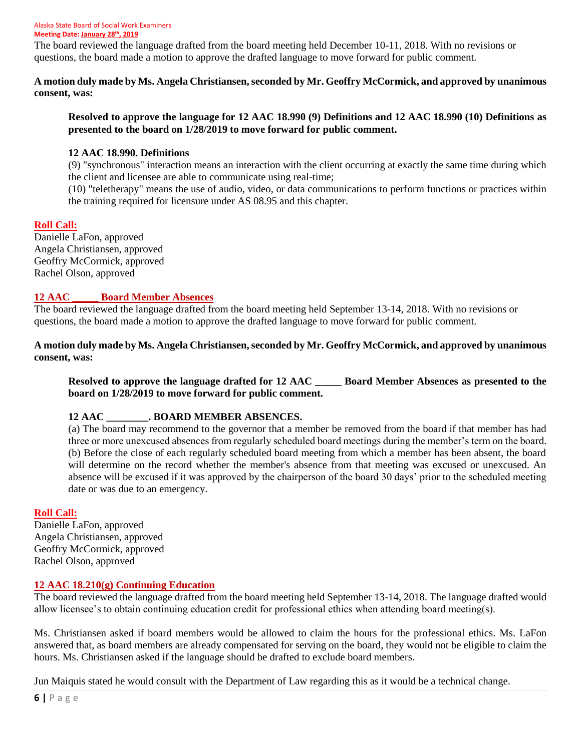The board reviewed the language drafted from the board meeting held December 10-11, 2018. With no revisions or questions, the board made a motion to approve the drafted language to move forward for public comment.

**A motion duly made by Ms. Angela Christiansen, seconded by Mr. Geoffry McCormick, and approved by unanimous consent, was:**

#### **Resolved to approve the language for 12 AAC 18.990 (9) Definitions and 12 AAC 18.990 (10) Definitions as presented to the board on 1/28/2019 to move forward for public comment.**

#### **12 AAC 18.990. Definitions**

(9) "synchronous" interaction means an interaction with the client occurring at exactly the same time during which the client and licensee are able to communicate using real-time;

(10) "teletherapy" means the use of audio, video, or data communications to perform functions or practices within the training required for licensure under AS 08.95 and this chapter.

#### **Roll Call:**

Danielle LaFon, approved Angela Christiansen, approved Geoffry McCormick, approved Rachel Olson, approved

#### **12 AAC \_\_\_\_\_ Board Member Absences**

The board reviewed the language drafted from the board meeting held September 13-14, 2018. With no revisions or questions, the board made a motion to approve the drafted language to move forward for public comment.

**A motion duly made by Ms. Angela Christiansen, seconded by Mr. Geoffry McCormick, and approved by unanimous consent, was:**

**Resolved to approve the language drafted for 12 AAC \_\_\_\_\_ Board Member Absences as presented to the board on 1/28/2019 to move forward for public comment.** 

## **12 AAC \_\_\_\_\_\_\_\_. BOARD MEMBER ABSENCES.**

(a) The board may recommend to the governor that a member be removed from the board if that member has had three or more unexcused absences from regularly scheduled board meetings during the member's term on the board. (b) Before the close of each regularly scheduled board meeting from which a member has been absent, the board will determine on the record whether the member's absence from that meeting was excused or unexcused. An absence will be excused if it was approved by the chairperson of the board 30 days' prior to the scheduled meeting date or was due to an emergency.

#### **Roll Call:**

Danielle LaFon, approved Angela Christiansen, approved Geoffry McCormick, approved Rachel Olson, approved

#### **12 AAC 18.210(g) Continuing Education**

The board reviewed the language drafted from the board meeting held September 13-14, 2018. The language drafted would allow licensee's to obtain continuing education credit for professional ethics when attending board meeting(s).

Ms. Christiansen asked if board members would be allowed to claim the hours for the professional ethics. Ms. LaFon answered that, as board members are already compensated for serving on the board, they would not be eligible to claim the hours. Ms. Christiansen asked if the language should be drafted to exclude board members.

Jun Maiquis stated he would consult with the Department of Law regarding this as it would be a technical change.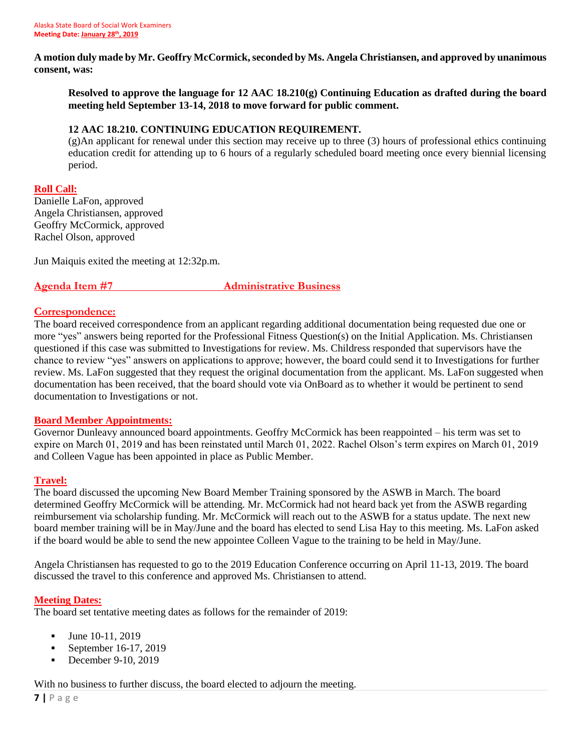**A motion duly made by Mr. Geoffry McCormick, seconded by Ms. Angela Christiansen, and approved by unanimous consent, was:**

**Resolved to approve the language for 12 AAC 18.210(g) Continuing Education as drafted during the board meeting held September 13-14, 2018 to move forward for public comment.** 

#### **12 AAC 18.210. CONTINUING EDUCATION REQUIREMENT.**

(g)An applicant for renewal under this section may receive up to three (3) hours of professional ethics continuing education credit for attending up to 6 hours of a regularly scheduled board meeting once every biennial licensing period.

#### **Roll Call:**

Danielle LaFon, approved Angela Christiansen, approved Geoffry McCormick, approved Rachel Olson, approved

Jun Maiquis exited the meeting at 12:32p.m.

**Agenda Item #7 Administrative Business**

#### **Correspondence:**

The board received correspondence from an applicant regarding additional documentation being requested due one or more "yes" answers being reported for the Professional Fitness Question(s) on the Initial Application. Ms. Christiansen questioned if this case was submitted to Investigations for review. Ms. Childress responded that supervisors have the chance to review "yes" answers on applications to approve; however, the board could send it to Investigations for further review. Ms. LaFon suggested that they request the original documentation from the applicant. Ms. LaFon suggested when documentation has been received, that the board should vote via OnBoard as to whether it would be pertinent to send documentation to Investigations or not.

#### **Board Member Appointments:**

Governor Dunleavy announced board appointments. Geoffry McCormick has been reappointed – his term was set to expire on March 01, 2019 and has been reinstated until March 01, 2022. Rachel Olson's term expires on March 01, 2019 and Colleen Vague has been appointed in place as Public Member.

#### **Travel:**

The board discussed the upcoming New Board Member Training sponsored by the ASWB in March. The board determined Geoffry McCormick will be attending. Mr. McCormick had not heard back yet from the ASWB regarding reimbursement via scholarship funding. Mr. McCormick will reach out to the ASWB for a status update. The next new board member training will be in May/June and the board has elected to send Lisa Hay to this meeting. Ms. LaFon asked if the board would be able to send the new appointee Colleen Vague to the training to be held in May/June.

Angela Christiansen has requested to go to the 2019 Education Conference occurring on April 11-13, 2019. The board discussed the travel to this conference and approved Ms. Christiansen to attend.

#### **Meeting Dates:**

The board set tentative meeting dates as follows for the remainder of 2019:

- **▪** June 10-11, 2019
- **•** September 16-17, 2019
- **▪** December 9-10, 2019

With no business to further discuss, the board elected to adjourn the meeting.